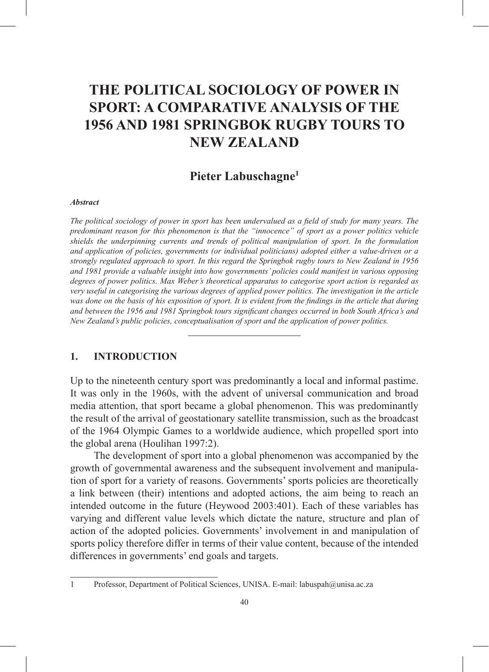# **THE POLITICAL SOCIOLOGY OF POWER IN SPORT: A COMPARATIVE ANALYSIS OF THE 1956 AND 1981 SPRINGBOK RUGBY TOURS TO NEW ZEALAND**

## **Pieter Labuschagne1**

#### *Abstract*

*The political sociology of power in sport has been undervalued as a field of study for many years. The predominant reason for this phenomenon is that the "innocence" of sport as a power politics vehicle shields the underpinning currents and trends of political manipulation of sport. In the formulation and application of policies, governments (or individual politicians) adopted either a value-driven or a strongly regulated approach to sport. In this regard the Springbok rugby tours to New Zealand in 1956 and 1981 provide a valuable insight into how governments' policies could manifest in various opposing degrees of power politics. Max Weber's theoretical apparatus to categorise sport action is regarded as very useful in categorising the various degrees of applied power politics. The investigation in the article was done on the basis of his exposition of sport. It is evident from the findings in the article that during and between the 1956 and 1981 Springbok tours significant changes occurred in both South Africa's and New Zealand's public policies, conceptualisation of sport and the application of power politics.*

#### **1. INTRODUCTION**

Up to the nineteenth century sport was predominantly a local and informal pastime. It was only in the 1960s, with the advent of universal communication and broad media attention, that sport became a global phenomenon. This was predominantly the result of the arrival of geostationary satellite transmission, such as the broadcast of the 1964 Olympic Games to a worldwide audience, which propelled sport into the global arena (Houlihan 1997:2).

The development of sport into a global phenomenon was accompanied by the growth of governmental awareness and the subsequent involvement and manipulation of sport for a variety of reasons. Governments' sports policies are theoretically a link between (their) intentions and adopted actions, the aim being to reach an intended outcome in the future (Heywood 2003:401). Each of these variables has varying and different value levels which dictate the nature, structure and plan of action of the adopted policies. Governments' involvement in and manipulation of sports policy therefore differ in terms of their value content, because of the intended differences in governments' end goals and targets.

<sup>1</sup> Professor, Department of Political Sciences, UNISA. E-mail: labuspah@unisa.ac.za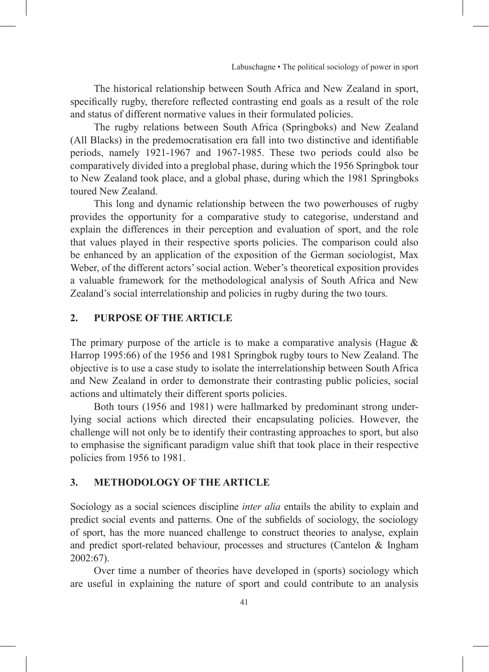The historical relationship between South Africa and New Zealand in sport, specifically rugby, therefore reflected contrasting end goals as a result of the role and status of different normative values in their formulated policies.

The rugby relations between South Africa (Springboks) and New Zealand (All Blacks) in the predemocratisation era fall into two distinctive and identifiable periods, namely 1921-1967 and 1967-1985. These two periods could also be comparatively divided into a preglobal phase, during which the 1956 Springbok tour to New Zealand took place, and a global phase, during which the 1981 Springboks toured New Zealand.

This long and dynamic relationship between the two powerhouses of rugby provides the opportunity for a comparative study to categorise, understand and explain the differences in their perception and evaluation of sport, and the role that values played in their respective sports policies. The comparison could also be enhanced by an application of the exposition of the German sociologist, Max Weber, of the different actors' social action. Weber's theoretical exposition provides a valuable framework for the methodological analysis of South Africa and New Zealand's social interrelationship and policies in rugby during the two tours.

### **2. PURPOSE OF THE ARTICLE**

The primary purpose of the article is to make a comparative analysis (Hague  $\&$ Harrop 1995:66) of the 1956 and 1981 Springbok rugby tours to New Zealand. The objective is to use a case study to isolate the interrelationship between South Africa and New Zealand in order to demonstrate their contrasting public policies, social actions and ultimately their different sports policies.

Both tours (1956 and 1981) were hallmarked by predominant strong underlying social actions which directed their encapsulating policies. However, the challenge will not only be to identify their contrasting approaches to sport, but also to emphasise the significant paradigm value shift that took place in their respective policies from 1956 to 1981.

## **3. METHODOLOGY OF THE ARTICLE**

Sociology as a social sciences discipline *inter alia* entails the ability to explain and predict social events and patterns. One of the subfields of sociology, the sociology of sport, has the more nuanced challenge to construct theories to analyse, explain and predict sport-related behaviour, processes and structures (Cantelon & Ingham 2002:67).

Over time a number of theories have developed in (sports) sociology which are useful in explaining the nature of sport and could contribute to an analysis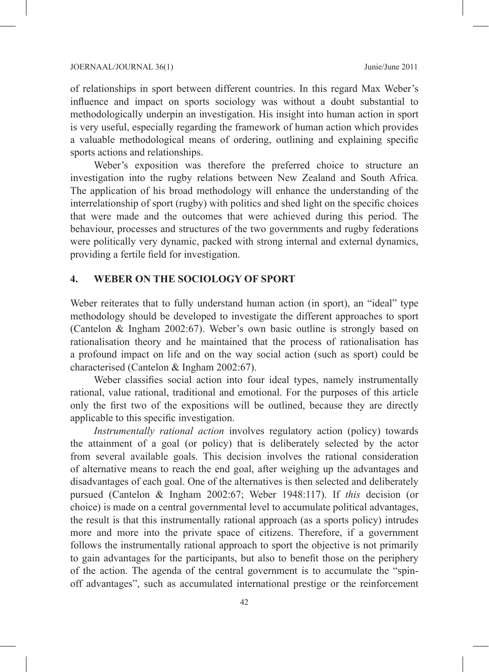of relationships in sport between different countries. In this regard Max Weber's influence and impact on sports sociology was without a doubt substantial to methodologically underpin an investigation. His insight into human action in sport is very useful, especially regarding the framework of human action which provides a valuable methodological means of ordering, outlining and explaining specific sports actions and relationships.

Weber's exposition was therefore the preferred choice to structure an investigation into the rugby relations between New Zealand and South Africa. The application of his broad methodology will enhance the understanding of the interrelationship of sport (rugby) with politics and shed light on the specific choices that were made and the outcomes that were achieved during this period. The behaviour, processes and structures of the two governments and rugby federations were politically very dynamic, packed with strong internal and external dynamics, providing a fertile field for investigation.

#### **4. WEBER ON THE SOCIOLOGY OF SPORT**

Weber reiterates that to fully understand human action (in sport), an "ideal" type methodology should be developed to investigate the different approaches to sport (Cantelon & Ingham 2002:67). Weber's own basic outline is strongly based on rationalisation theory and he maintained that the process of rationalisation has a profound impact on life and on the way social action (such as sport) could be characterised (Cantelon & Ingham 2002:67).

Weber classifies social action into four ideal types, namely instrumentally rational, value rational, traditional and emotional. For the purposes of this article only the first two of the expositions will be outlined, because they are directly applicable to this specific investigation.

*Instrumentally rational action* involves regulatory action (policy) towards the attainment of a goal (or policy) that is deliberately selected by the actor from several available goals. This decision involves the rational consideration of alternative means to reach the end goal, after weighing up the advantages and disadvantages of each goal. One of the alternatives is then selected and deliberately pursued (Cantelon & Ingham 2002:67; Weber 1948:117). If *this* decision (or choice) is made on a central governmental level to accumulate political advantages, the result is that this instrumentally rational approach (as a sports policy) intrudes more and more into the private space of citizens. Therefore, if a government follows the instrumentally rational approach to sport the objective is not primarily to gain advantages for the participants, but also to benefit those on the periphery of the action. The agenda of the central government is to accumulate the "spinoff advantages", such as accumulated international prestige or the reinforcement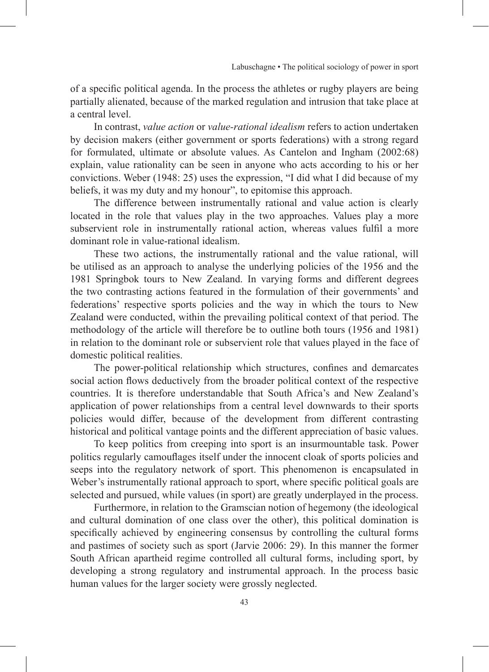of a specific political agenda. In the process the athletes or rugby players are being partially alienated, because of the marked regulation and intrusion that take place at a central level.

In contrast, *value action* or *value-rational idealism* refers to action undertaken by decision makers (either government or sports federations) with a strong regard for formulated, ultimate or absolute values. As Cantelon and Ingham (2002:68) explain, value rationality can be seen in anyone who acts according to his or her convictions. Weber (1948: 25) uses the expression, "I did what I did because of my beliefs, it was my duty and my honour", to epitomise this approach.

The difference between instrumentally rational and value action is clearly located in the role that values play in the two approaches. Values play a more subservient role in instrumentally rational action, whereas values fulfil a more dominant role in value-rational idealism.

These two actions, the instrumentally rational and the value rational, will be utilised as an approach to analyse the underlying policies of the 1956 and the 1981 Springbok tours to New Zealand. In varying forms and different degrees the two contrasting actions featured in the formulation of their governments' and federations' respective sports policies and the way in which the tours to New Zealand were conducted, within the prevailing political context of that period. The methodology of the article will therefore be to outline both tours (1956 and 1981) in relation to the dominant role or subservient role that values played in the face of domestic political realities.

The power-political relationship which structures, confines and demarcates social action flows deductively from the broader political context of the respective countries. It is therefore understandable that South Africa's and New Zealand's application of power relationships from a central level downwards to their sports policies would differ, because of the development from different contrasting historical and political vantage points and the different appreciation of basic values.

To keep politics from creeping into sport is an insurmountable task. Power politics regularly camouflages itself under the innocent cloak of sports policies and seeps into the regulatory network of sport. This phenomenon is encapsulated in Weber's instrumentally rational approach to sport, where specific political goals are selected and pursued, while values (in sport) are greatly underplayed in the process.

Furthermore, in relation to the Gramscian notion of hegemony (the ideological and cultural domination of one class over the other), this political domination is specifically achieved by engineering consensus by controlling the cultural forms and pastimes of society such as sport (Jarvie 2006: 29). In this manner the former South African apartheid regime controlled all cultural forms, including sport, by developing a strong regulatory and instrumental approach. In the process basic human values for the larger society were grossly neglected.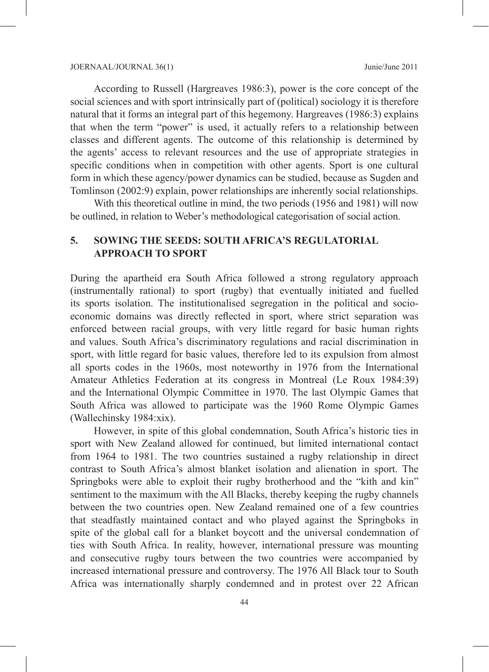According to Russell (Hargreaves 1986:3), power is the core concept of the social sciences and with sport intrinsically part of (political) sociology it is therefore natural that it forms an integral part of this hegemony. Hargreaves (1986:3) explains that when the term "power" is used, it actually refers to a relationship between classes and different agents. The outcome of this relationship is determined by the agents' access to relevant resources and the use of appropriate strategies in specific conditions when in competition with other agents. Sport is one cultural form in which these agency/power dynamics can be studied, because as Sugden and Tomlinson (2002:9) explain, power relationships are inherently social relationships.

With this theoretical outline in mind, the two periods (1956 and 1981) will now be outlined, in relation to Weber's methodological categorisation of social action.

## **5. SOWING THE SEEDS: SOUTH AFRICA'S REGULATORIAL APPROACH TO SPORT**

During the apartheid era South Africa followed a strong regulatory approach (instrumentally rational) to sport (rugby) that eventually initiated and fuelled its sports isolation. The institutionalised segregation in the political and socioeconomic domains was directly reflected in sport, where strict separation was enforced between racial groups, with very little regard for basic human rights and values. South Africa's discriminatory regulations and racial discrimination in sport, with little regard for basic values, therefore led to its expulsion from almost all sports codes in the 1960s, most noteworthy in 1976 from the International Amateur Athletics Federation at its congress in Montreal (Le Roux 1984:39) and the International Olympic Committee in 1970. The last Olympic Games that South Africa was allowed to participate was the 1960 Rome Olympic Games (Wallechinsky 1984:xix).

However, in spite of this global condemnation, South Africa's historic ties in sport with New Zealand allowed for continued, but limited international contact from 1964 to 1981. The two countries sustained a rugby relationship in direct contrast to South Africa's almost blanket isolation and alienation in sport. The Springboks were able to exploit their rugby brotherhood and the "kith and kin" sentiment to the maximum with the All Blacks, thereby keeping the rugby channels between the two countries open. New Zealand remained one of a few countries that steadfastly maintained contact and who played against the Springboks in spite of the global call for a blanket boycott and the universal condemnation of ties with South Africa. In reality, however, international pressure was mounting and consecutive rugby tours between the two countries were accompanied by increased international pressure and controversy. The 1976 All Black tour to South Africa was internationally sharply condemned and in protest over 22 African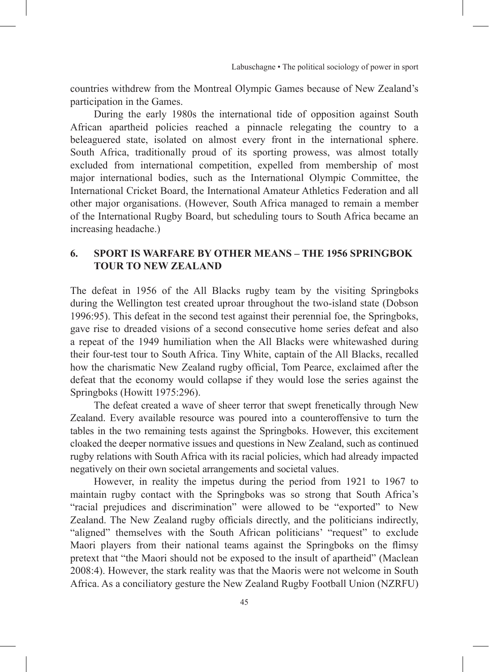countries withdrew from the Montreal Olympic Games because of New Zealand's participation in the Games.

During the early 1980s the international tide of opposition against South African apartheid policies reached a pinnacle relegating the country to a beleaguered state, isolated on almost every front in the international sphere. South Africa, traditionally proud of its sporting prowess, was almost totally excluded from international competition, expelled from membership of most major international bodies, such as the International Olympic Committee, the International Cricket Board, the International Amateur Athletics Federation and all other major organisations. (However, South Africa managed to remain a member of the International Rugby Board, but scheduling tours to South Africa became an increasing headache.)

## **6. SPORT IS WARFARE BY OTHER MEANS – THE 1956 SPRINGBOK TOUR TO NEW ZEALAND**

The defeat in 1956 of the All Blacks rugby team by the visiting Springboks during the Wellington test created uproar throughout the two-island state (Dobson 1996:95). This defeat in the second test against their perennial foe, the Springboks, gave rise to dreaded visions of a second consecutive home series defeat and also a repeat of the 1949 humiliation when the All Blacks were whitewashed during their four-test tour to South Africa. Tiny White, captain of the All Blacks, recalled how the charismatic New Zealand rugby official, Tom Pearce, exclaimed after the defeat that the economy would collapse if they would lose the series against the Springboks (Howitt 1975:296).

The defeat created a wave of sheer terror that swept frenetically through New Zealand. Every available resource was poured into a counteroffensive to turn the tables in the two remaining tests against the Springboks. However, this excitement cloaked the deeper normative issues and questions in New Zealand, such as continued rugby relations with South Africa with its racial policies, which had already impacted negatively on their own societal arrangements and societal values.

However, in reality the impetus during the period from 1921 to 1967 to maintain rugby contact with the Springboks was so strong that South Africa's "racial prejudices and discrimination" were allowed to be "exported" to New Zealand. The New Zealand rugby officials directly, and the politicians indirectly, "aligned" themselves with the South African politicians' "request" to exclude Maori players from their national teams against the Springboks on the flimsy pretext that "the Maori should not be exposed to the insult of apartheid" (Maclean 2008:4). However, the stark reality was that the Maoris were not welcome in South Africa. As a conciliatory gesture the New Zealand Rugby Football Union (NZRFU)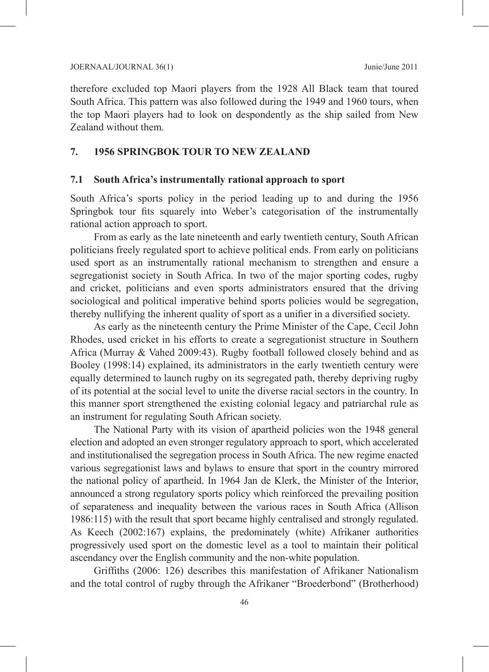therefore excluded top Maori players from the 1928 All Black team that toured South Africa. This pattern was also followed during the 1949 and 1960 tours, when the top Maori players had to look on despondently as the ship sailed from New Zealand without them.

#### **7. 1956 SPRINGBOK TOUR TO NEW ZEALAND**

#### **7.1 South Africa's instrumentally rational approach to sport**

South Africa's sports policy in the period leading up to and during the 1956 Springbok tour fits squarely into Weber's categorisation of the instrumentally rational action approach to sport.

From as early as the late nineteenth and early twentieth century, South African politicians freely regulated sport to achieve political ends. From early on politicians used sport as an instrumentally rational mechanism to strengthen and ensure a segregationist society in South Africa. In two of the major sporting codes, rugby and cricket, politicians and even sports administrators ensured that the driving sociological and political imperative behind sports policies would be segregation, thereby nullifying the inherent quality of sport as a unifier in a diversified society.

As early as the nineteenth century the Prime Minister of the Cape, Cecil John Rhodes, used cricket in his efforts to create a segregationist structure in Southern Africa (Murray & Vahed 2009:43). Rugby football followed closely behind and as Booley (1998:14) explained, its administrators in the early twentieth century were equally determined to launch rugby on its segregated path, thereby depriving rugby of its potential at the social level to unite the diverse racial sectors in the country. In this manner sport strengthened the existing colonial legacy and patriarchal rule as an instrument for regulating South African society.

The National Party with its vision of apartheid policies won the 1948 general election and adopted an even stronger regulatory approach to sport, which accelerated and institutionalised the segregation process in South Africa. The new regime enacted various segregationist laws and bylaws to ensure that sport in the country mirrored the national policy of apartheid. In 1964 Jan de Klerk, the Minister of the Interior, announced a strong regulatory sports policy which reinforced the prevailing position of separateness and inequality between the various races in South Africa (Allison 1986:115) with the result that sport became highly centralised and strongly regulated. As Keech (2002:167) explains, the predominately (white) Afrikaner authorities progressively used sport on the domestic level as a tool to maintain their political ascendancy over the English community and the non-white population.

Griffiths (2006: 126) describes this manifestation of Afrikaner Nationalism and the total control of rugby through the Afrikaner "Broederbond" (Brotherhood)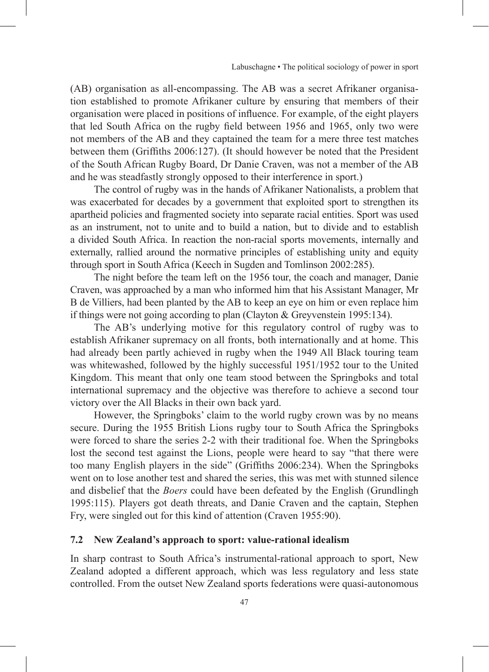(AB) organisation as all-encompassing. The AB was a secret Afrikaner organisation established to promote Afrikaner culture by ensuring that members of their organisation were placed in positions of influence. For example, of the eight players that led South Africa on the rugby field between 1956 and 1965, only two were not members of the AB and they captained the team for a mere three test matches between them (Griffiths 2006:127). (It should however be noted that the President of the South African Rugby Board, Dr Danie Craven, was not a member of the AB and he was steadfastly strongly opposed to their interference in sport.)

The control of rugby was in the hands of Afrikaner Nationalists, a problem that was exacerbated for decades by a government that exploited sport to strengthen its apartheid policies and fragmented society into separate racial entities. Sport was used as an instrument, not to unite and to build a nation, but to divide and to establish a divided South Africa. In reaction the non-racial sports movements, internally and externally, rallied around the normative principles of establishing unity and equity through sport in South Africa (Keech in Sugden and Tomlinson 2002:285).

The night before the team left on the 1956 tour, the coach and manager, Danie Craven, was approached by a man who informed him that his Assistant Manager, Mr B de Villiers, had been planted by the AB to keep an eye on him or even replace him if things were not going according to plan (Clayton & Greyvenstein 1995:134).

The AB's underlying motive for this regulatory control of rugby was to establish Afrikaner supremacy on all fronts, both internationally and at home. This had already been partly achieved in rugby when the 1949 All Black touring team was whitewashed, followed by the highly successful 1951/1952 tour to the United Kingdom. This meant that only one team stood between the Springboks and total international supremacy and the objective was therefore to achieve a second tour victory over the All Blacks in their own back yard.

However, the Springboks' claim to the world rugby crown was by no means secure. During the 1955 British Lions rugby tour to South Africa the Springboks were forced to share the series 2-2 with their traditional foe. When the Springboks lost the second test against the Lions, people were heard to say "that there were too many English players in the side" (Griffiths 2006:234). When the Springboks went on to lose another test and shared the series, this was met with stunned silence and disbelief that the *Boers* could have been defeated by the English (Grundlingh 1995:115). Players got death threats, and Danie Craven and the captain, Stephen Fry, were singled out for this kind of attention (Craven 1955:90).

## **7.2 New Zealand's approach to sport: value-rational idealism**

In sharp contrast to South Africa's instrumental-rational approach to sport, New Zealand adopted a different approach, which was less regulatory and less state controlled. From the outset New Zealand sports federations were quasi-autonomous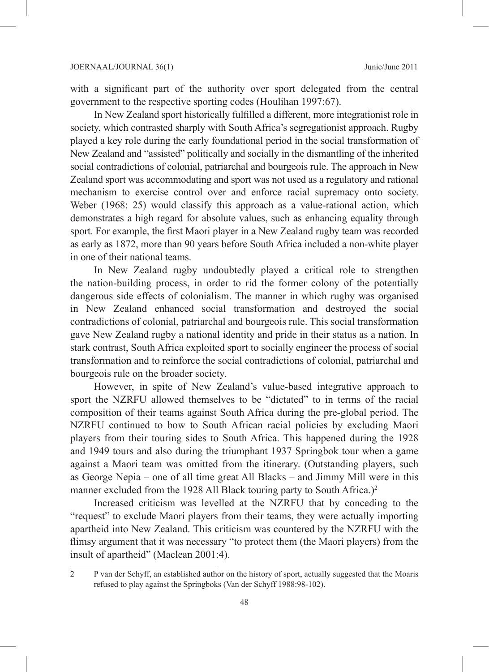with a significant part of the authority over sport delegated from the central government to the respective sporting codes (Houlihan 1997:67).

In New Zealand sport historically fulfilled a different, more integrationist role in society, which contrasted sharply with South Africa's segregationist approach. Rugby played a key role during the early foundational period in the social transformation of New Zealand and "assisted" politically and socially in the dismantling of the inherited social contradictions of colonial, patriarchal and bourgeois rule. The approach in New Zealand sport was accommodating and sport was not used as a regulatory and rational mechanism to exercise control over and enforce racial supremacy onto society. Weber (1968: 25) would classify this approach as a value-rational action, which demonstrates a high regard for absolute values, such as enhancing equality through sport. For example, the first Maori player in a New Zealand rugby team was recorded as early as 1872, more than 90 years before South Africa included a non-white player in one of their national teams.

In New Zealand rugby undoubtedly played a critical role to strengthen the nation-building process, in order to rid the former colony of the potentially dangerous side effects of colonialism. The manner in which rugby was organised in New Zealand enhanced social transformation and destroyed the social contradictions of colonial, patriarchal and bourgeois rule. This social transformation gave New Zealand rugby a national identity and pride in their status as a nation. In stark contrast, South Africa exploited sport to socially engineer the process of social transformation and to reinforce the social contradictions of colonial, patriarchal and bourgeois rule on the broader society.

However, in spite of New Zealand's value-based integrative approach to sport the NZRFU allowed themselves to be "dictated" to in terms of the racial composition of their teams against South Africa during the pre-global period. The NZRFU continued to bow to South African racial policies by excluding Maori players from their touring sides to South Africa. This happened during the 1928 and 1949 tours and also during the triumphant 1937 Springbok tour when a game against a Maori team was omitted from the itinerary. (Outstanding players, such as George Nepia – one of all time great All Blacks – and Jimmy Mill were in this manner excluded from the 1928 All Black touring party to South Africa.)<sup>2</sup>

Increased criticism was levelled at the NZRFU that by conceding to the "request" to exclude Maori players from their teams, they were actually importing apartheid into New Zealand. This criticism was countered by the NZRFU with the flimsy argument that it was necessary "to protect them (the Maori players) from the insult of apartheid" (Maclean 2001:4).

<sup>2</sup> P van der Schyff, an established author on the history of sport, actually suggested that the Moaris refused to play against the Springboks (Van der Schyff 1988:98-102).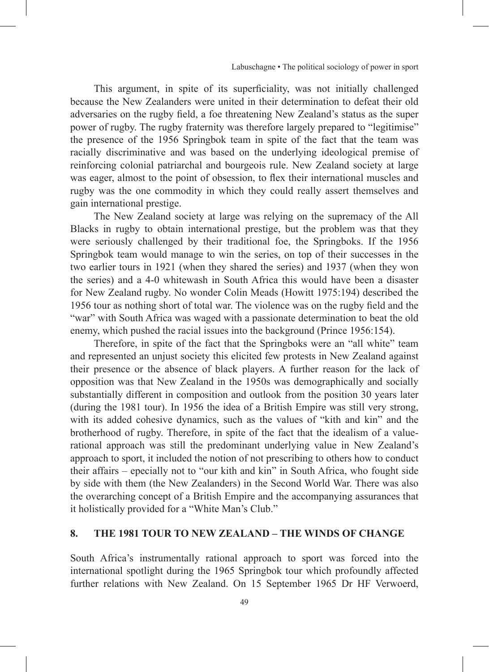This argument, in spite of its superficiality, was not initially challenged because the New Zealanders were united in their determination to defeat their old adversaries on the rugby field, a foe threatening New Zealand's status as the super power of rugby. The rugby fraternity was therefore largely prepared to "legitimise" the presence of the 1956 Springbok team in spite of the fact that the team was racially discriminative and was based on the underlying ideological premise of reinforcing colonial patriarchal and bourgeois rule. New Zealand society at large was eager, almost to the point of obsession, to flex their international muscles and rugby was the one commodity in which they could really assert themselves and gain international prestige.

The New Zealand society at large was relying on the supremacy of the All Blacks in rugby to obtain international prestige, but the problem was that they were seriously challenged by their traditional foe, the Springboks. If the 1956 Springbok team would manage to win the series, on top of their successes in the two earlier tours in 1921 (when they shared the series) and 1937 (when they won the series) and a 4-0 whitewash in South Africa this would have been a disaster for New Zealand rugby. No wonder Colin Meads (Howitt 1975:194) described the 1956 tour as nothing short of total war. The violence was on the rugby field and the "war" with South Africa was waged with a passionate determination to beat the old enemy, which pushed the racial issues into the background (Prince 1956:154).

Therefore, in spite of the fact that the Springboks were an "all white" team and represented an unjust society this elicited few protests in New Zealand against their presence or the absence of black players. A further reason for the lack of opposition was that New Zealand in the 1950s was demographically and socially substantially different in composition and outlook from the position 30 years later (during the 1981 tour). In 1956 the idea of a British Empire was still very strong, with its added cohesive dynamics, such as the values of "kith and kin" and the brotherhood of rugby. Therefore, in spite of the fact that the idealism of a valuerational approach was still the predominant underlying value in New Zealand's approach to sport, it included the notion of not prescribing to others how to conduct their affairs – epecially not to "our kith and kin" in South Africa, who fought side by side with them (the New Zealanders) in the Second World War. There was also the overarching concept of a British Empire and the accompanying assurances that it holistically provided for a "White Man's Club."

#### **8. THE 1981 TOUR TO NEW ZEALAND – THE WINDS OF CHANGE**

South Africa's instrumentally rational approach to sport was forced into the international spotlight during the 1965 Springbok tour which profoundly affected further relations with New Zealand. On 15 September 1965 Dr HF Verwoerd,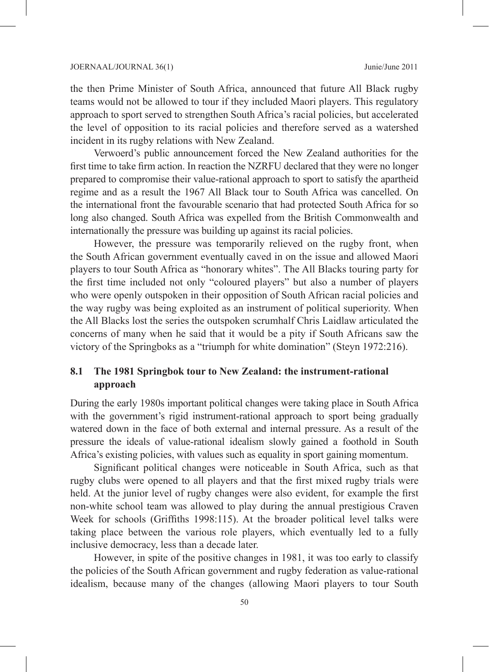the then Prime Minister of South Africa, announced that future All Black rugby teams would not be allowed to tour if they included Maori players. This regulatory approach to sport served to strengthen South Africa's racial policies, but accelerated the level of opposition to its racial policies and therefore served as a watershed incident in its rugby relations with New Zealand.

Verwoerd's public announcement forced the New Zealand authorities for the first time to take firm action. In reaction the NZRFU declared that they were no longer prepared to compromise their value-rational approach to sport to satisfy the apartheid regime and as a result the 1967 All Black tour to South Africa was cancelled. On the international front the favourable scenario that had protected South Africa for so long also changed. South Africa was expelled from the British Commonwealth and internationally the pressure was building up against its racial policies.

However, the pressure was temporarily relieved on the rugby front, when the South African government eventually caved in on the issue and allowed Maori players to tour South Africa as "honorary whites". The All Blacks touring party for the first time included not only "coloured players" but also a number of players who were openly outspoken in their opposition of South African racial policies and the way rugby was being exploited as an instrument of political superiority. When the All Blacks lost the series the outspoken scrumhalf Chris Laidlaw articulated the concerns of many when he said that it would be a pity if South Africans saw the victory of the Springboks as a "triumph for white domination" (Steyn 1972:216).

## **8.1 The 1981 Springbok tour to New Zealand: the instrument-rational approach**

During the early 1980s important political changes were taking place in South Africa with the government's rigid instrument-rational approach to sport being gradually watered down in the face of both external and internal pressure. As a result of the pressure the ideals of value-rational idealism slowly gained a foothold in South Africa's existing policies, with values such as equality in sport gaining momentum.

Significant political changes were noticeable in South Africa, such as that rugby clubs were opened to all players and that the first mixed rugby trials were held. At the junior level of rugby changes were also evident, for example the first non-white school team was allowed to play during the annual prestigious Craven Week for schools (Griffiths 1998:115). At the broader political level talks were taking place between the various role players, which eventually led to a fully inclusive democracy, less than a decade later.

However, in spite of the positive changes in 1981, it was too early to classify the policies of the South African government and rugby federation as value-rational idealism, because many of the changes (allowing Maori players to tour South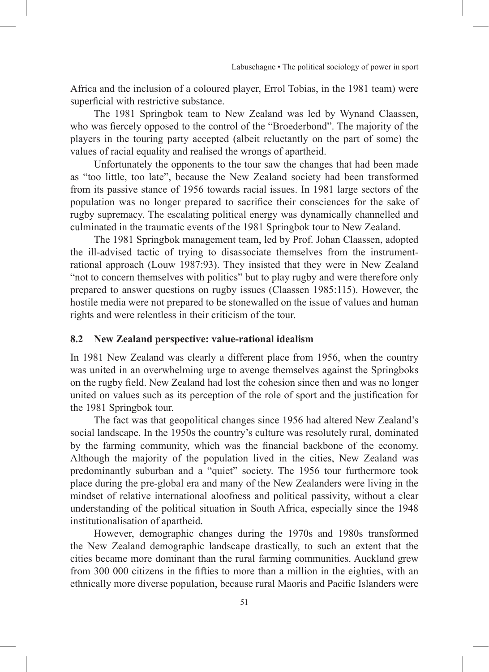Africa and the inclusion of a coloured player, Errol Tobias, in the 1981 team) were superficial with restrictive substance.

The 1981 Springbok team to New Zealand was led by Wynand Claassen, who was fiercely opposed to the control of the "Broederbond". The majority of the players in the touring party accepted (albeit reluctantly on the part of some) the values of racial equality and realised the wrongs of apartheid.

Unfortunately the opponents to the tour saw the changes that had been made as "too little, too late", because the New Zealand society had been transformed from its passive stance of 1956 towards racial issues. In 1981 large sectors of the population was no longer prepared to sacrifice their consciences for the sake of rugby supremacy. The escalating political energy was dynamically channelled and culminated in the traumatic events of the 1981 Springbok tour to New Zealand.

The 1981 Springbok management team, led by Prof. Johan Claassen, adopted the ill-advised tactic of trying to disassociate themselves from the instrumentrational approach (Louw 1987:93). They insisted that they were in New Zealand "not to concern themselves with politics" but to play rugby and were therefore only prepared to answer questions on rugby issues (Claassen 1985:115). However, the hostile media were not prepared to be stonewalled on the issue of values and human rights and were relentless in their criticism of the tour.

## **8.2 New Zealand perspective: value-rational idealism**

In 1981 New Zealand was clearly a different place from 1956, when the country was united in an overwhelming urge to avenge themselves against the Springboks on the rugby field. New Zealand had lost the cohesion since then and was no longer united on values such as its perception of the role of sport and the justification for the 1981 Springbok tour.

The fact was that geopolitical changes since 1956 had altered New Zealand's social landscape. In the 1950s the country's culture was resolutely rural, dominated by the farming community, which was the financial backbone of the economy. Although the majority of the population lived in the cities, New Zealand was predominantly suburban and a "quiet" society. The 1956 tour furthermore took place during the pre-global era and many of the New Zealanders were living in the mindset of relative international aloofness and political passivity, without a clear understanding of the political situation in South Africa, especially since the 1948 institutionalisation of apartheid.

However, demographic changes during the 1970s and 1980s transformed the New Zealand demographic landscape drastically, to such an extent that the cities became more dominant than the rural farming communities. Auckland grew from 300 000 citizens in the fifties to more than a million in the eighties, with an ethnically more diverse population, because rural Maoris and Pacific Islanders were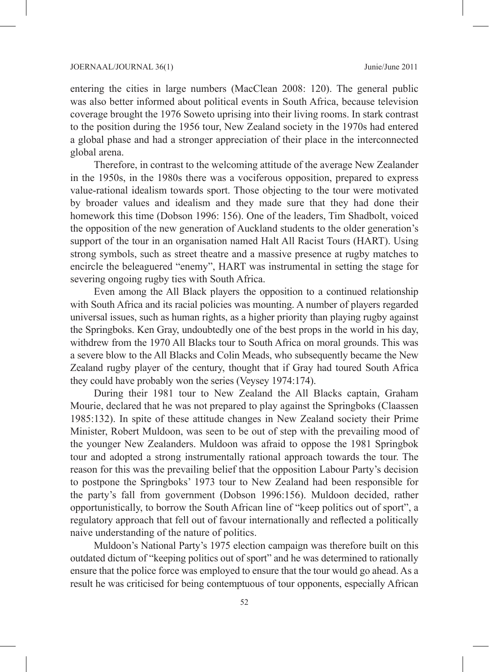entering the cities in large numbers (MacClean 2008: 120). The general public was also better informed about political events in South Africa, because television coverage brought the 1976 Soweto uprising into their living rooms. In stark contrast to the position during the 1956 tour, New Zealand society in the 1970s had entered a global phase and had a stronger appreciation of their place in the interconnected global arena.

Therefore, in contrast to the welcoming attitude of the average New Zealander in the 1950s, in the 1980s there was a vociferous opposition, prepared to express value-rational idealism towards sport. Those objecting to the tour were motivated by broader values and idealism and they made sure that they had done their homework this time (Dobson 1996: 156). One of the leaders, Tim Shadbolt, voiced the opposition of the new generation of Auckland students to the older generation's support of the tour in an organisation named Halt All Racist Tours (HART). Using strong symbols, such as street theatre and a massive presence at rugby matches to encircle the beleaguered "enemy", HART was instrumental in setting the stage for severing ongoing rugby ties with South Africa.

Even among the All Black players the opposition to a continued relationship with South Africa and its racial policies was mounting. A number of players regarded universal issues, such as human rights, as a higher priority than playing rugby against the Springboks. Ken Gray, undoubtedly one of the best props in the world in his day, withdrew from the 1970 All Blacks tour to South Africa on moral grounds. This was a severe blow to the All Blacks and Colin Meads, who subsequently became the New Zealand rugby player of the century, thought that if Gray had toured South Africa they could have probably won the series (Veysey 1974:174).

During their 1981 tour to New Zealand the All Blacks captain, Graham Mourie, declared that he was not prepared to play against the Springboks (Claassen 1985:132). In spite of these attitude changes in New Zealand society their Prime Minister, Robert Muldoon, was seen to be out of step with the prevailing mood of the younger New Zealanders. Muldoon was afraid to oppose the 1981 Springbok tour and adopted a strong instrumentally rational approach towards the tour. The reason for this was the prevailing belief that the opposition Labour Party's decision to postpone the Springboks' 1973 tour to New Zealand had been responsible for the party's fall from government (Dobson 1996:156). Muldoon decided, rather opportunistically, to borrow the South African line of "keep politics out of sport", a regulatory approach that fell out of favour internationally and reflected a politically naive understanding of the nature of politics.

Muldoon's National Party's 1975 election campaign was therefore built on this outdated dictum of "keeping politics out of sport" and he was determined to rationally ensure that the police force was employed to ensure that the tour would go ahead. As a result he was criticised for being contemptuous of tour opponents, especially African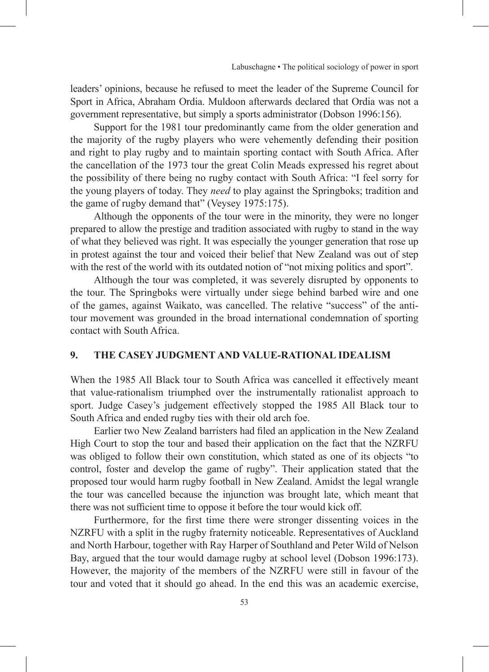leaders' opinions, because he refused to meet the leader of the Supreme Council for Sport in Africa, Abraham Ordia. Muldoon afterwards declared that Ordia was not a government representative, but simply a sports administrator (Dobson 1996:156).

Support for the 1981 tour predominantly came from the older generation and the majority of the rugby players who were vehemently defending their position and right to play rugby and to maintain sporting contact with South Africa. After the cancellation of the 1973 tour the great Colin Meads expressed his regret about the possibility of there being no rugby contact with South Africa: "I feel sorry for the young players of today. They *need* to play against the Springboks; tradition and the game of rugby demand that" (Veysey 1975:175).

Although the opponents of the tour were in the minority, they were no longer prepared to allow the prestige and tradition associated with rugby to stand in the way of what they believed was right. It was especially the younger generation that rose up in protest against the tour and voiced their belief that New Zealand was out of step with the rest of the world with its outdated notion of "not mixing politics and sport".

Although the tour was completed, it was severely disrupted by opponents to the tour. The Springboks were virtually under siege behind barbed wire and one of the games, against Waikato, was cancelled. The relative "success" of the antitour movement was grounded in the broad international condemnation of sporting contact with South Africa.

#### **9. THE CASEY JUDGMENT AND VALUE-RATIONAL IDEALISM**

When the 1985 All Black tour to South Africa was cancelled it effectively meant that value-rationalism triumphed over the instrumentally rationalist approach to sport. Judge Casey's judgement effectively stopped the 1985 All Black tour to South Africa and ended rugby ties with their old arch foe.

Earlier two New Zealand barristers had filed an application in the New Zealand High Court to stop the tour and based their application on the fact that the NZRFU was obliged to follow their own constitution, which stated as one of its objects "to control, foster and develop the game of rugby". Their application stated that the proposed tour would harm rugby football in New Zealand. Amidst the legal wrangle the tour was cancelled because the injunction was brought late, which meant that there was not sufficient time to oppose it before the tour would kick off.

Furthermore, for the first time there were stronger dissenting voices in the NZRFU with a split in the rugby fraternity noticeable. Representatives of Auckland and North Harbour, together with Ray Harper of Southland and Peter Wild of Nelson Bay, argued that the tour would damage rugby at school level (Dobson 1996:173). However, the majority of the members of the NZRFU were still in favour of the tour and voted that it should go ahead. In the end this was an academic exercise,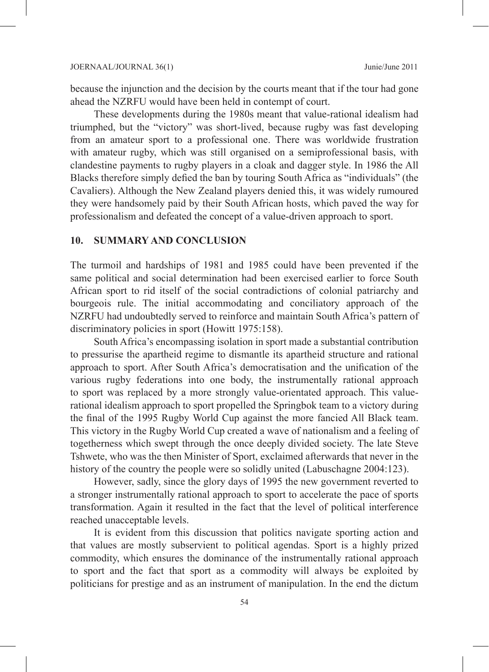because the injunction and the decision by the courts meant that if the tour had gone ahead the NZRFU would have been held in contempt of court.

These developments during the 1980s meant that value-rational idealism had triumphed, but the "victory" was short-lived, because rugby was fast developing from an amateur sport to a professional one. There was worldwide frustration with amateur rugby, which was still organised on a semiprofessional basis, with clandestine payments to rugby players in a cloak and dagger style. In 1986 the All Blacks therefore simply defied the ban by touring South Africa as "individuals" (the Cavaliers). Although the New Zealand players denied this, it was widely rumoured they were handsomely paid by their South African hosts, which paved the way for professionalism and defeated the concept of a value-driven approach to sport.

#### **10. SUMMARY AND CONCLUSION**

The turmoil and hardships of 1981 and 1985 could have been prevented if the same political and social determination had been exercised earlier to force South African sport to rid itself of the social contradictions of colonial patriarchy and bourgeois rule. The initial accommodating and conciliatory approach of the NZRFU had undoubtedly served to reinforce and maintain South Africa's pattern of discriminatory policies in sport (Howitt 1975:158).

South Africa's encompassing isolation in sport made a substantial contribution to pressurise the apartheid regime to dismantle its apartheid structure and rational approach to sport. After South Africa's democratisation and the unification of the various rugby federations into one body, the instrumentally rational approach to sport was replaced by a more strongly value-orientated approach. This valuerational idealism approach to sport propelled the Springbok team to a victory during the final of the 1995 Rugby World Cup against the more fancied All Black team. This victory in the Rugby World Cup created a wave of nationalism and a feeling of togetherness which swept through the once deeply divided society. The late Steve Tshwete, who was the then Minister of Sport, exclaimed afterwards that never in the history of the country the people were so solidly united (Labuschagne 2004:123).

However, sadly, since the glory days of 1995 the new government reverted to a stronger instrumentally rational approach to sport to accelerate the pace of sports transformation. Again it resulted in the fact that the level of political interference reached unacceptable levels.

It is evident from this discussion that politics navigate sporting action and that values are mostly subservient to political agendas. Sport is a highly prized commodity, which ensures the dominance of the instrumentally rational approach to sport and the fact that sport as a commodity will always be exploited by politicians for prestige and as an instrument of manipulation. In the end the dictum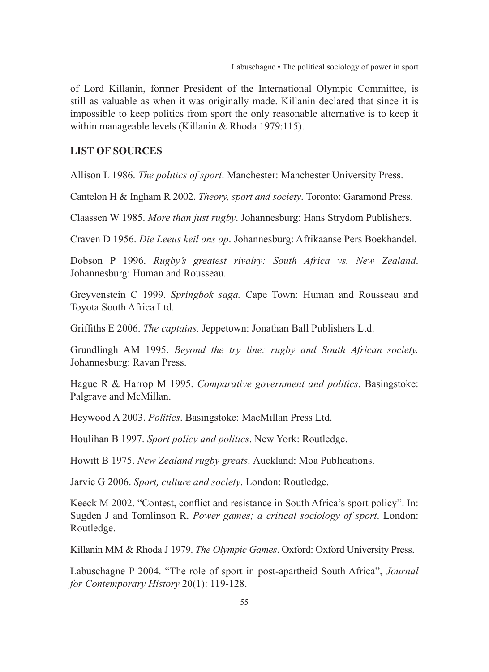of Lord Killanin, former President of the International Olympic Committee, is still as valuable as when it was originally made. Killanin declared that since it is impossible to keep politics from sport the only reasonable alternative is to keep it within manageable levels (Killanin & Rhoda 1979:115).

#### **LIST OF SOURCES**

Allison L 1986. *The politics of sport*. Manchester: Manchester University Press.

Cantelon H & Ingham R 2002. *Theory, sport and society*. Toronto: Garamond Press.

Claassen W 1985. *More than just rugby*. Johannesburg: Hans Strydom Publishers.

Craven D 1956. *Die Leeus keil ons op*. Johannesburg: Afrikaanse Pers Boekhandel.

Dobson P 1996. *Rugby's greatest rivalry: South Africa vs. New Zealand*. Johannesburg: Human and Rousseau.

Greyvenstein C 1999. *Springbok saga.* Cape Town: Human and Rousseau and Toyota South Africa Ltd.

Griffiths E 2006. *The captains.* Jeppetown: Jonathan Ball Publishers Ltd.

Grundlingh AM 1995. *Beyond the try line: rugby and South African society.* Johannesburg: Ravan Press.

Hague R & Harrop M 1995. *Comparative government and politics*. Basingstoke: Palgrave and McMillan.

Heywood A 2003. *Politics*. Basingstoke: MacMillan Press Ltd.

Houlihan B 1997. *Sport policy and politics*. New York: Routledge.

Howitt B 1975. *New Zealand rugby greats*. Auckland: Moa Publications.

Jarvie G 2006. *Sport, culture and society*. London: Routledge.

Keeck M 2002. "Contest, conflict and resistance in South Africa's sport policy". In: Sugden J and Tomlinson R. *Power games; a critical sociology of sport*. London: Routledge.

Killanin MM & Rhoda J 1979. *The Olympic Games*. Oxford: Oxford University Press.

Labuschagne P 2004. "The role of sport in post-apartheid South Africa", *Journal for Contemporary History* 20(1): 119-128.